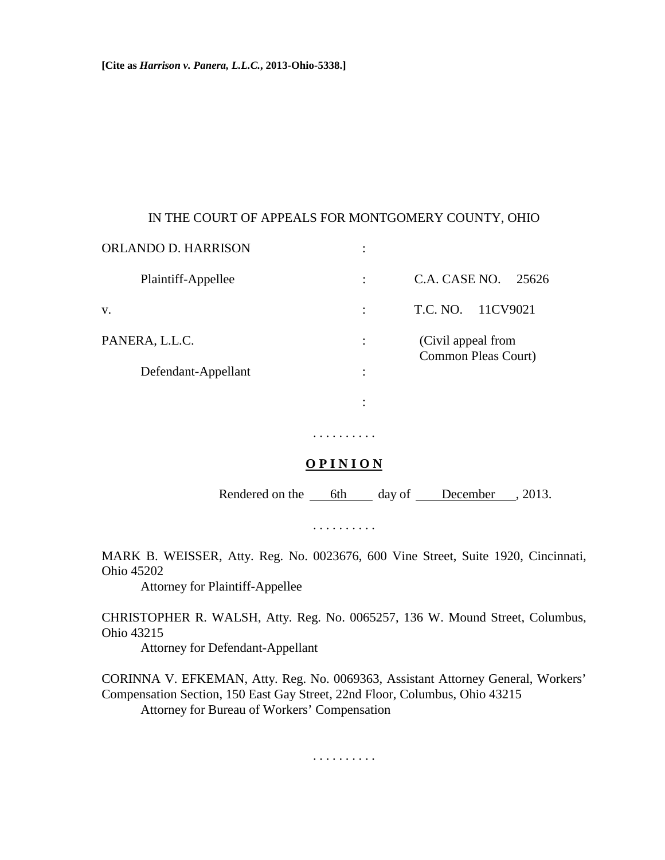# IN THE COURT OF APPEALS FOR MONTGOMERY COUNTY, OHIO

| C.A. CASE NO.<br>25626                    |
|-------------------------------------------|
| 11CV9021<br>T.C. NO.                      |
| (Civil appeal from<br>Common Pleas Court) |
|                                           |
|                                           |
|                                           |

# **O P I N I O N**

. . . . . . . . . .

Rendered on the 6th day of December , 2013.

. . . . . . . . . .

MARK B. WEISSER, Atty. Reg. No. 0023676, 600 Vine Street, Suite 1920, Cincinnati, Ohio 45202

Attorney for Plaintiff-Appellee

CHRISTOPHER R. WALSH, Atty. Reg. No. 0065257, 136 W. Mound Street, Columbus, Ohio 43215

Attorney for Defendant-Appellant

CORINNA V. EFKEMAN, Atty. Reg. No. 0069363, Assistant Attorney General, Workers' Compensation Section, 150 East Gay Street, 22nd Floor, Columbus, Ohio 43215 Attorney for Bureau of Workers' Compensation

. . . . . . . . . .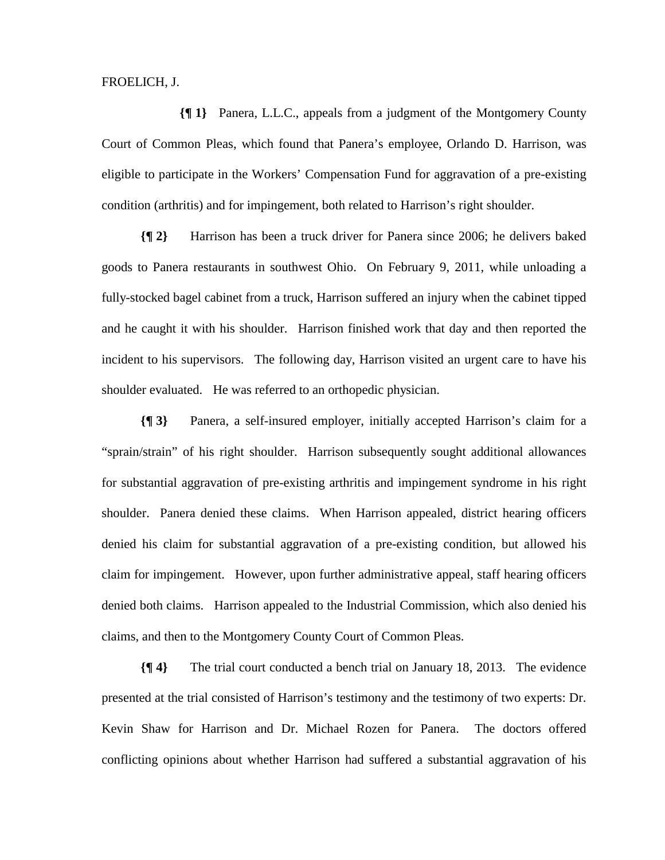#### FROELICH, J.

**{¶ 1}** Panera, L.L.C., appeals from a judgment of the Montgomery County Court of Common Pleas, which found that Panera's employee, Orlando D. Harrison, was eligible to participate in the Workers' Compensation Fund for aggravation of a pre-existing condition (arthritis) and for impingement, both related to Harrison's right shoulder.

**{¶ 2}** Harrison has been a truck driver for Panera since 2006; he delivers baked goods to Panera restaurants in southwest Ohio. On February 9, 2011, while unloading a fully-stocked bagel cabinet from a truck, Harrison suffered an injury when the cabinet tipped and he caught it with his shoulder. Harrison finished work that day and then reported the incident to his supervisors. The following day, Harrison visited an urgent care to have his shoulder evaluated. He was referred to an orthopedic physician.

**{¶ 3}** Panera, a self-insured employer, initially accepted Harrison's claim for a "sprain/strain" of his right shoulder. Harrison subsequently sought additional allowances for substantial aggravation of pre-existing arthritis and impingement syndrome in his right shoulder. Panera denied these claims. When Harrison appealed, district hearing officers denied his claim for substantial aggravation of a pre-existing condition, but allowed his claim for impingement. However, upon further administrative appeal, staff hearing officers denied both claims. Harrison appealed to the Industrial Commission, which also denied his claims, and then to the Montgomery County Court of Common Pleas.

**{¶ 4}** The trial court conducted a bench trial on January 18, 2013. The evidence presented at the trial consisted of Harrison's testimony and the testimony of two experts: Dr. Kevin Shaw for Harrison and Dr. Michael Rozen for Panera. The doctors offered conflicting opinions about whether Harrison had suffered a substantial aggravation of his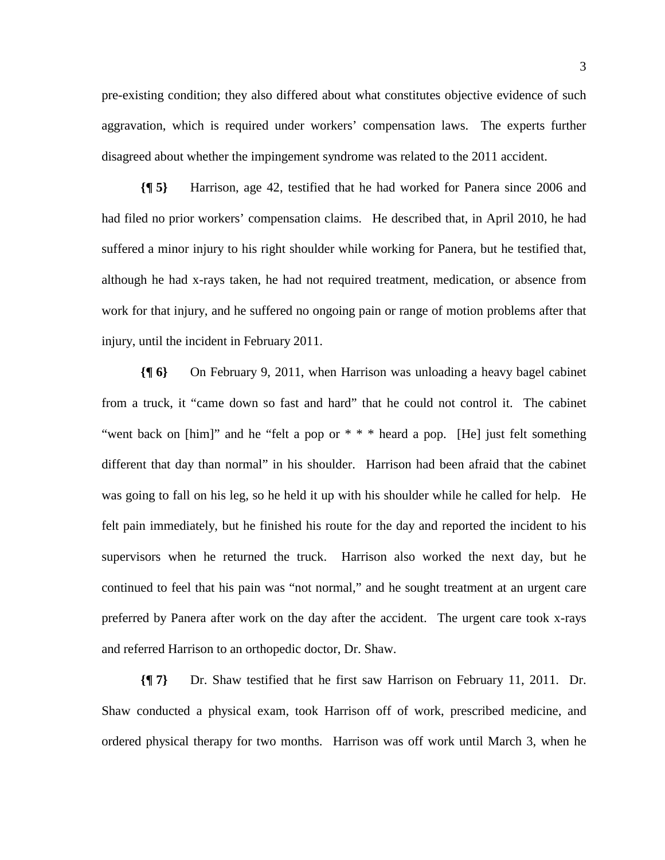pre-existing condition; they also differed about what constitutes objective evidence of such aggravation, which is required under workers' compensation laws. The experts further disagreed about whether the impingement syndrome was related to the 2011 accident.

**{¶ 5}** Harrison, age 42, testified that he had worked for Panera since 2006 and had filed no prior workers' compensation claims. He described that, in April 2010, he had suffered a minor injury to his right shoulder while working for Panera, but he testified that, although he had x-rays taken, he had not required treatment, medication, or absence from work for that injury, and he suffered no ongoing pain or range of motion problems after that injury, until the incident in February 2011.

**{¶ 6}** On February 9, 2011, when Harrison was unloading a heavy bagel cabinet from a truck, it "came down so fast and hard" that he could not control it. The cabinet "went back on [him]" and he "felt a pop or  $* * *$  heard a pop. [He] just felt something different that day than normal" in his shoulder. Harrison had been afraid that the cabinet was going to fall on his leg, so he held it up with his shoulder while he called for help. He felt pain immediately, but he finished his route for the day and reported the incident to his supervisors when he returned the truck. Harrison also worked the next day, but he continued to feel that his pain was "not normal," and he sought treatment at an urgent care preferred by Panera after work on the day after the accident. The urgent care took x-rays and referred Harrison to an orthopedic doctor, Dr. Shaw.

**{¶ 7}** Dr. Shaw testified that he first saw Harrison on February 11, 2011. Dr. Shaw conducted a physical exam, took Harrison off of work, prescribed medicine, and ordered physical therapy for two months. Harrison was off work until March 3, when he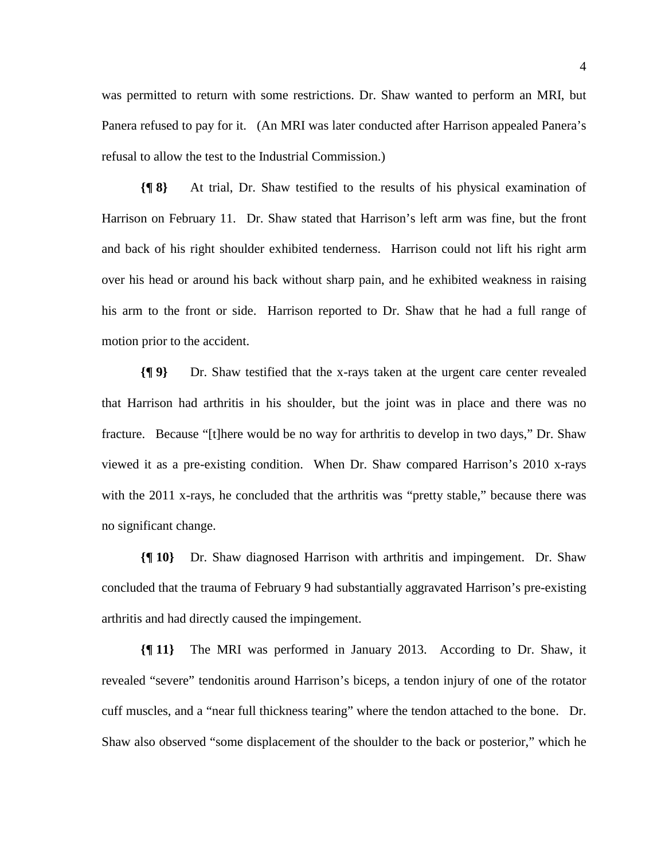was permitted to return with some restrictions. Dr. Shaw wanted to perform an MRI, but Panera refused to pay for it. (An MRI was later conducted after Harrison appealed Panera's refusal to allow the test to the Industrial Commission.)

**{¶ 8}** At trial, Dr. Shaw testified to the results of his physical examination of Harrison on February 11. Dr. Shaw stated that Harrison's left arm was fine, but the front and back of his right shoulder exhibited tenderness. Harrison could not lift his right arm over his head or around his back without sharp pain, and he exhibited weakness in raising his arm to the front or side. Harrison reported to Dr. Shaw that he had a full range of motion prior to the accident.

**{¶ 9}** Dr. Shaw testified that the x-rays taken at the urgent care center revealed that Harrison had arthritis in his shoulder, but the joint was in place and there was no fracture. Because "[t]here would be no way for arthritis to develop in two days," Dr. Shaw viewed it as a pre-existing condition. When Dr. Shaw compared Harrison's 2010 x-rays with the 2011 x-rays, he concluded that the arthritis was "pretty stable," because there was no significant change.

**{¶ 10}** Dr. Shaw diagnosed Harrison with arthritis and impingement. Dr. Shaw concluded that the trauma of February 9 had substantially aggravated Harrison's pre-existing arthritis and had directly caused the impingement.

**{¶ 11}** The MRI was performed in January 2013. According to Dr. Shaw, it revealed "severe" tendonitis around Harrison's biceps, a tendon injury of one of the rotator cuff muscles, and a "near full thickness tearing" where the tendon attached to the bone. Dr. Shaw also observed "some displacement of the shoulder to the back or posterior," which he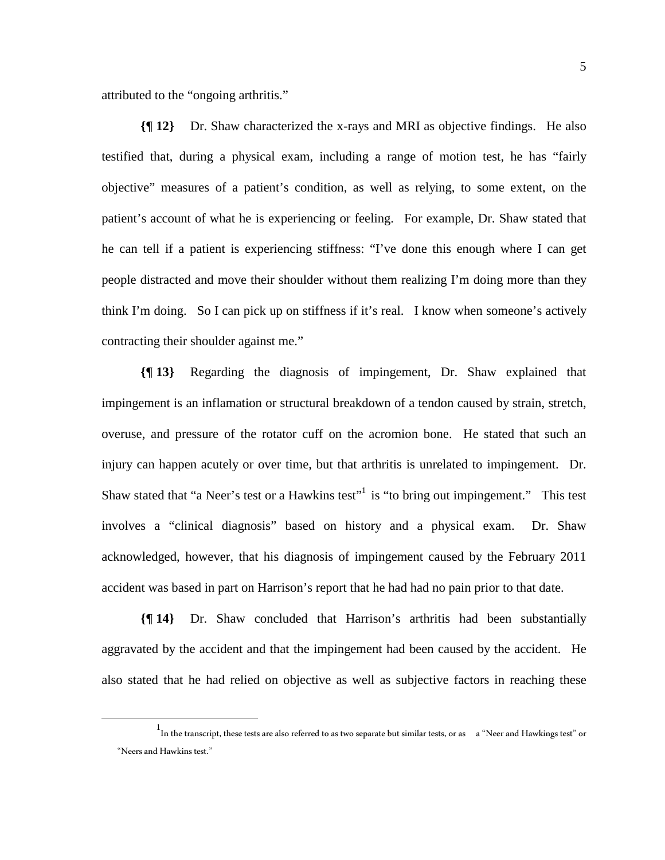attributed to the "ongoing arthritis."

**{¶ 12}** Dr. Shaw characterized the x-rays and MRI as objective findings. He also testified that, during a physical exam, including a range of motion test, he has "fairly objective" measures of a patient's condition, as well as relying, to some extent, on the patient's account of what he is experiencing or feeling. For example, Dr. Shaw stated that he can tell if a patient is experiencing stiffness: "I've done this enough where I can get people distracted and move their shoulder without them realizing I'm doing more than they think I'm doing. So I can pick up on stiffness if it's real. I know when someone's actively contracting their shoulder against me."

**{¶ 13}** Regarding the diagnosis of impingement, Dr. Shaw explained that impingement is an inflamation or structural breakdown of a tendon caused by strain, stretch, overuse, and pressure of the rotator cuff on the acromion bone. He stated that such an injury can happen acutely or over time, but that arthritis is unrelated to impingement. Dr. Shaw stated that "a Neer's test or a Hawkins test"<sup>1</sup> is "to bring out impingement." This test involves a "clinical diagnosis" based on history and a physical exam. Dr. Shaw acknowledged, however, that his diagnosis of impingement caused by the February 2011 accident was based in part on Harrison's report that he had had no pain prior to that date.

**{¶ 14}** Dr. Shaw concluded that Harrison's arthritis had been substantially aggravated by the accident and that the impingement had been caused by the accident. He also stated that he had relied on objective as well as subjective factors in reaching these

<sup>&</sup>lt;u>1</u>  $^1$ In the transcript, these tests are also referred to as two separate but similar tests, or as a "Neer and Hawkings test" or "Neers and Hawkins test."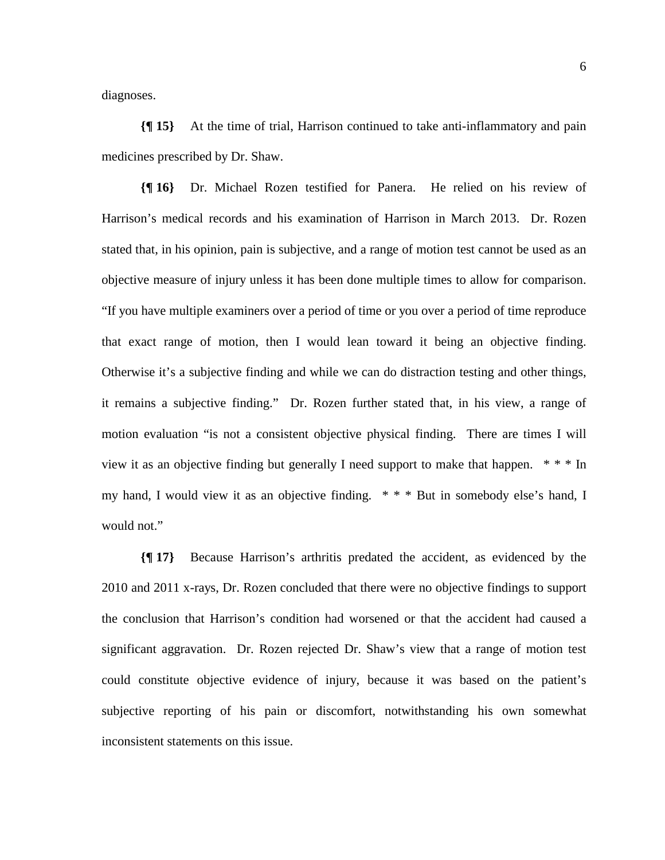diagnoses.

**{¶ 15}** At the time of trial, Harrison continued to take anti-inflammatory and pain medicines prescribed by Dr. Shaw.

**{¶ 16}** Dr. Michael Rozen testified for Panera. He relied on his review of Harrison's medical records and his examination of Harrison in March 2013. Dr. Rozen stated that, in his opinion, pain is subjective, and a range of motion test cannot be used as an objective measure of injury unless it has been done multiple times to allow for comparison. "If you have multiple examiners over a period of time or you over a period of time reproduce that exact range of motion, then I would lean toward it being an objective finding. Otherwise it's a subjective finding and while we can do distraction testing and other things, it remains a subjective finding." Dr. Rozen further stated that, in his view, a range of motion evaluation "is not a consistent objective physical finding. There are times I will view it as an objective finding but generally I need support to make that happen.  $* * n$ my hand, I would view it as an objective finding. \* \* \* But in somebody else's hand, I would not."

**{¶ 17}** Because Harrison's arthritis predated the accident, as evidenced by the 2010 and 2011 x-rays, Dr. Rozen concluded that there were no objective findings to support the conclusion that Harrison's condition had worsened or that the accident had caused a significant aggravation. Dr. Rozen rejected Dr. Shaw's view that a range of motion test could constitute objective evidence of injury, because it was based on the patient's subjective reporting of his pain or discomfort, notwithstanding his own somewhat inconsistent statements on this issue.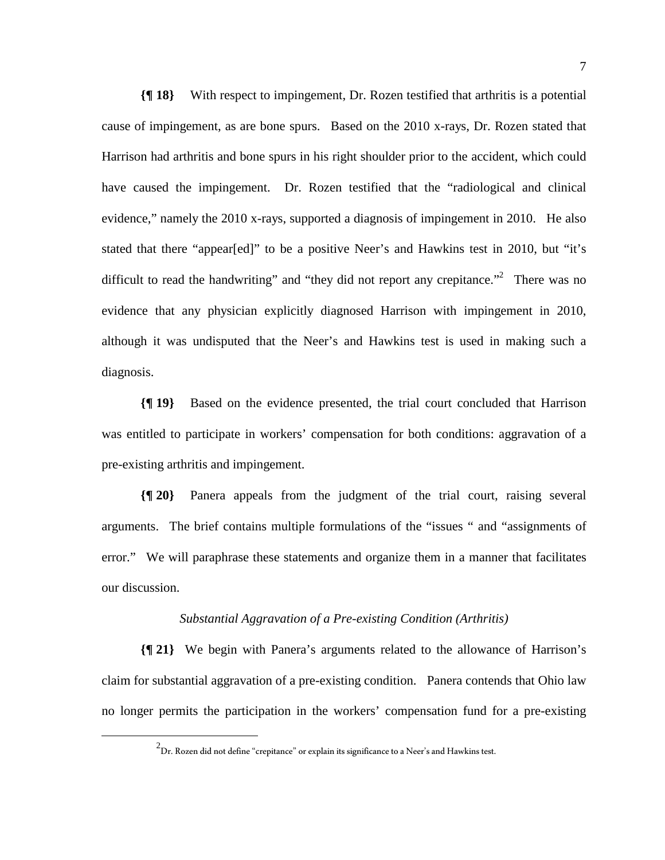**{¶ 18}** With respect to impingement, Dr. Rozen testified that arthritis is a potential cause of impingement, as are bone spurs. Based on the 2010 x-rays, Dr. Rozen stated that Harrison had arthritis and bone spurs in his right shoulder prior to the accident, which could have caused the impingement. Dr. Rozen testified that the "radiological and clinical evidence," namely the 2010 x-rays, supported a diagnosis of impingement in 2010. He also stated that there "appear[ed]" to be a positive Neer's and Hawkins test in 2010, but "it's difficult to read the handwriting" and "they did not report any crepitance."<sup>2</sup> There was no evidence that any physician explicitly diagnosed Harrison with impingement in 2010, although it was undisputed that the Neer's and Hawkins test is used in making such a diagnosis.

**{¶ 19}** Based on the evidence presented, the trial court concluded that Harrison was entitled to participate in workers' compensation for both conditions: aggravation of a pre-existing arthritis and impingement.

**{¶ 20}** Panera appeals from the judgment of the trial court, raising several arguments. The brief contains multiple formulations of the "issues " and "assignments of error." We will paraphrase these statements and organize them in a manner that facilitates our discussion.

### *Substantial Aggravation of a Pre-existing Condition (Arthritis)*

**{¶ 21}** We begin with Panera's arguments related to the allowance of Harrison's claim for substantial aggravation of a pre-existing condition. Panera contends that Ohio law no longer permits the participation in the workers' compensation fund for a pre-existing

 $\begin{array}{c|c}\n\hline\n\text{2}\n\end{array}$  $^2$ Dr. Rozen did not define "crepitance" or explain its significance to a Neer's and Hawkins test.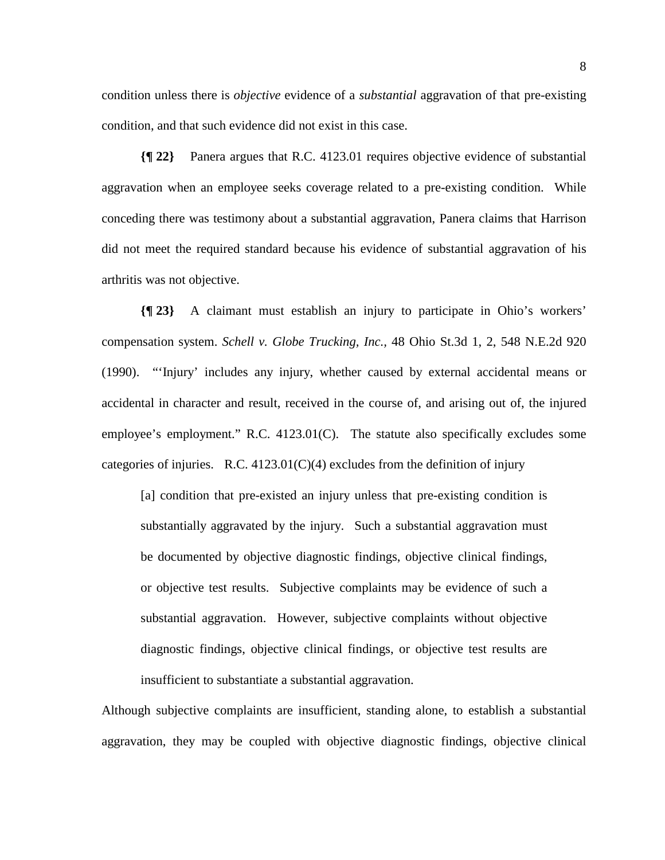condition unless there is *objective* evidence of a *substantial* aggravation of that pre-existing condition, and that such evidence did not exist in this case.

**{¶ 22}** Panera argues that R.C. 4123.01 requires objective evidence of substantial aggravation when an employee seeks coverage related to a pre-existing condition. While conceding there was testimony about a substantial aggravation, Panera claims that Harrison did not meet the required standard because his evidence of substantial aggravation of his arthritis was not objective.

**{¶ 23}** A claimant must establish an injury to participate in Ohio's workers' compensation system. *Schell v. Globe Trucking, Inc.,* 48 Ohio St.3d 1, 2, 548 N.E.2d 920 (1990). "'Injury' includes any injury, whether caused by external accidental means or accidental in character and result, received in the course of, and arising out of, the injured employee's employment." R.C. 4123.01(C). The statute also specifically excludes some categories of injuries. R.C.  $4123.01(C)(4)$  excludes from the definition of injury

[a] condition that pre-existed an injury unless that pre-existing condition is substantially aggravated by the injury. Such a substantial aggravation must be documented by objective diagnostic findings, objective clinical findings, or objective test results. Subjective complaints may be evidence of such a substantial aggravation. However, subjective complaints without objective diagnostic findings, objective clinical findings, or objective test results are insufficient to substantiate a substantial aggravation.

Although subjective complaints are insufficient, standing alone, to establish a substantial aggravation, they may be coupled with objective diagnostic findings, objective clinical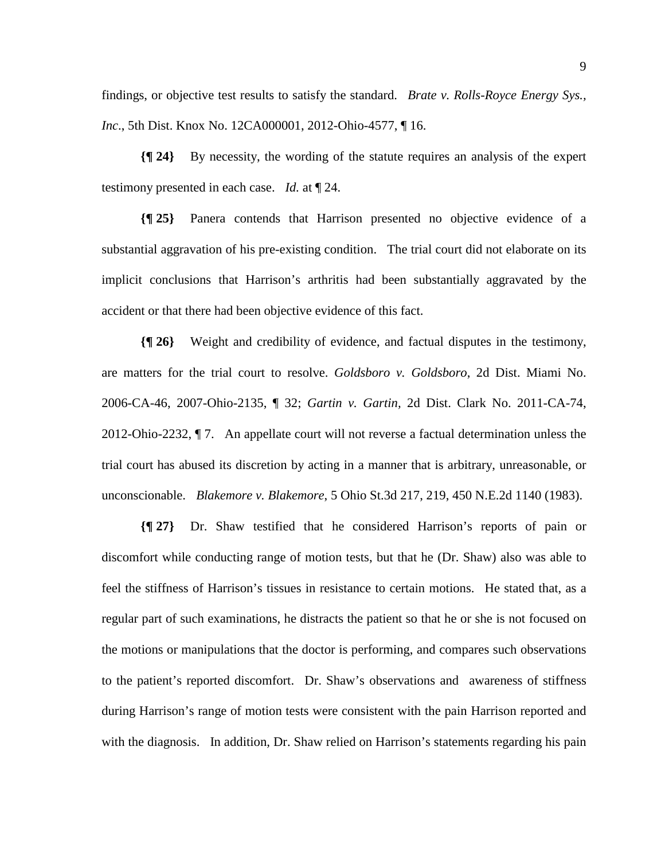findings, or objective test results to satisfy the standard. *Brate v. Rolls-Royce Energy Sys., Inc*., 5th Dist. Knox No. 12CA000001, 2012-Ohio-4577, ¶ 16.

**{¶ 24}** By necessity, the wording of the statute requires an analysis of the expert testimony presented in each case. *Id.* at ¶ 24.

**{¶ 25}** Panera contends that Harrison presented no objective evidence of a substantial aggravation of his pre-existing condition. The trial court did not elaborate on its implicit conclusions that Harrison's arthritis had been substantially aggravated by the accident or that there had been objective evidence of this fact.

**{¶ 26}** Weight and credibility of evidence, and factual disputes in the testimony, are matters for the trial court to resolve. *Goldsboro v. Goldsboro*, 2d Dist. Miami No. 2006-CA-46, 2007-Ohio-2135, ¶ 32; *Gartin v. Gartin,* 2d Dist. Clark No. 2011-CA-74, 2012-Ohio-2232, ¶ 7. An appellate court will not reverse a factual determination unless the trial court has abused its discretion by acting in a manner that is arbitrary, unreasonable, or unconscionable. *Blakemore v. Blakemore*, 5 Ohio St.3d 217, 219, 450 N.E.2d 1140 (1983).

**{¶ 27}** Dr. Shaw testified that he considered Harrison's reports of pain or discomfort while conducting range of motion tests, but that he (Dr. Shaw) also was able to feel the stiffness of Harrison's tissues in resistance to certain motions. He stated that, as a regular part of such examinations, he distracts the patient so that he or she is not focused on the motions or manipulations that the doctor is performing, and compares such observations to the patient's reported discomfort. Dr. Shaw's observations and awareness of stiffness during Harrison's range of motion tests were consistent with the pain Harrison reported and with the diagnosis. In addition, Dr. Shaw relied on Harrison's statements regarding his pain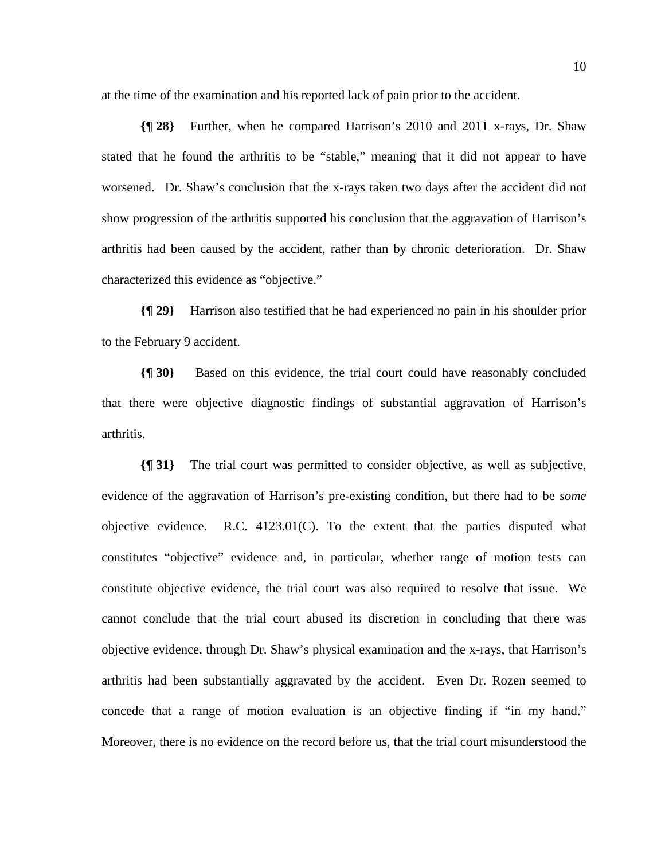at the time of the examination and his reported lack of pain prior to the accident.

**{¶ 28}** Further, when he compared Harrison's 2010 and 2011 x-rays, Dr. Shaw stated that he found the arthritis to be "stable," meaning that it did not appear to have worsened. Dr. Shaw's conclusion that the x-rays taken two days after the accident did not show progression of the arthritis supported his conclusion that the aggravation of Harrison's arthritis had been caused by the accident, rather than by chronic deterioration. Dr. Shaw characterized this evidence as "objective."

**{¶ 29}** Harrison also testified that he had experienced no pain in his shoulder prior to the February 9 accident.

**{¶ 30}** Based on this evidence, the trial court could have reasonably concluded that there were objective diagnostic findings of substantial aggravation of Harrison's arthritis.

**{¶ 31}** The trial court was permitted to consider objective, as well as subjective, evidence of the aggravation of Harrison's pre-existing condition, but there had to be *some*  objective evidence. R.C. 4123.01(C). To the extent that the parties disputed what constitutes "objective" evidence and, in particular, whether range of motion tests can constitute objective evidence, the trial court was also required to resolve that issue. We cannot conclude that the trial court abused its discretion in concluding that there was objective evidence, through Dr. Shaw's physical examination and the x-rays, that Harrison's arthritis had been substantially aggravated by the accident. Even Dr. Rozen seemed to concede that a range of motion evaluation is an objective finding if "in my hand." Moreover, there is no evidence on the record before us, that the trial court misunderstood the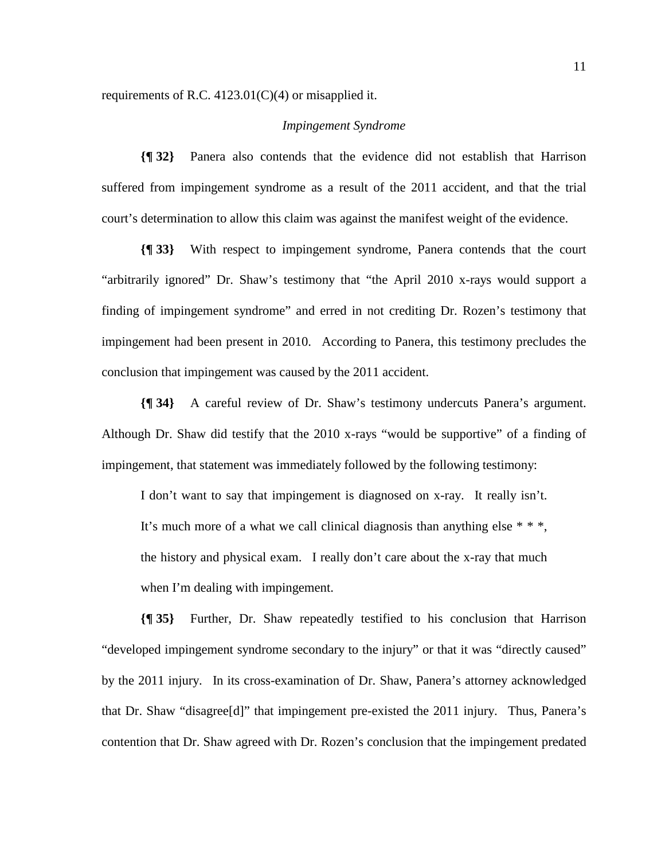requirements of R.C. 4123.01(C)(4) or misapplied it.

### *Impingement Syndrome*

**{¶ 32}** Panera also contends that the evidence did not establish that Harrison suffered from impingement syndrome as a result of the 2011 accident, and that the trial court's determination to allow this claim was against the manifest weight of the evidence.

**{¶ 33}** With respect to impingement syndrome, Panera contends that the court "arbitrarily ignored" Dr. Shaw's testimony that "the April 2010 x-rays would support a finding of impingement syndrome" and erred in not crediting Dr. Rozen's testimony that impingement had been present in 2010. According to Panera, this testimony precludes the conclusion that impingement was caused by the 2011 accident.

**{¶ 34}** A careful review of Dr. Shaw's testimony undercuts Panera's argument. Although Dr. Shaw did testify that the 2010 x-rays "would be supportive" of a finding of impingement, that statement was immediately followed by the following testimony:

I don't want to say that impingement is diagnosed on x-ray. It really isn't. It's much more of a what we call clinical diagnosis than anything else \* \* \*, the history and physical exam. I really don't care about the x-ray that much when I'm dealing with impingement.

**{¶ 35}** Further, Dr. Shaw repeatedly testified to his conclusion that Harrison "developed impingement syndrome secondary to the injury" or that it was "directly caused" by the 2011 injury. In its cross-examination of Dr. Shaw, Panera's attorney acknowledged that Dr. Shaw "disagree[d]" that impingement pre-existed the 2011 injury. Thus, Panera's contention that Dr. Shaw agreed with Dr. Rozen's conclusion that the impingement predated